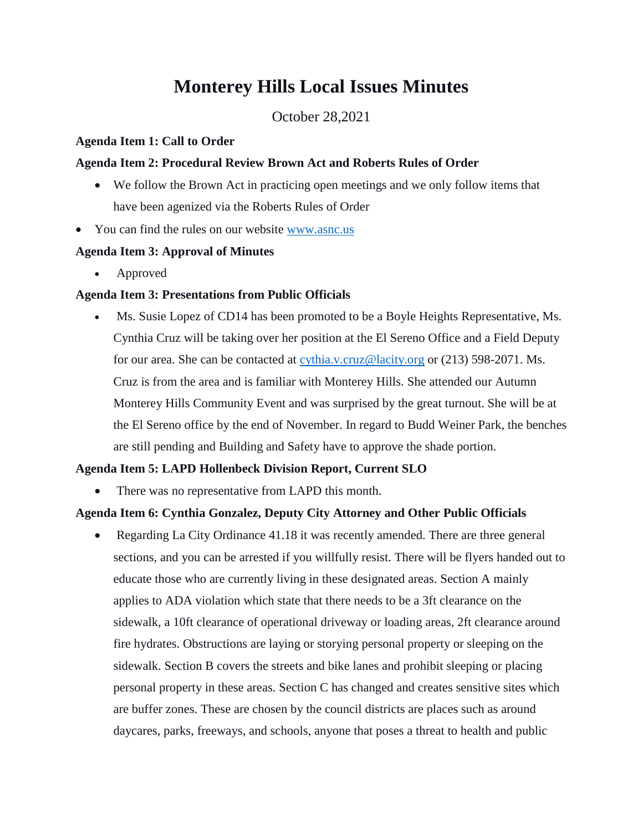# **Monterey Hills Local Issues Minutes**

October 28,2021

#### **Agenda Item 1: Call to Order**

#### **Agenda Item 2: Procedural Review Brown Act and Roberts Rules of Order**

- We follow the Brown Act in practicing open meetings and we only follow items that have been agenized via the Roberts Rules of Order
- You can find the rules on our website [www.asnc.us](http://www.asnc.us/)

# **Agenda Item 3: Approval of Minutes**

Approved

# **Agenda Item 3: Presentations from Public Officials**

 Ms. Susie Lopez of CD14 has been promoted to be a Boyle Heights Representative, Ms. Cynthia Cruz will be taking over her position at the El Sereno Office and a Field Deputy for our area. She can be contacted at [cythia.v.cruz@lacity.org](mailto:cythia.v.cruz@lacity.org) or (213) 598-2071. Ms. Cruz is from the area and is familiar with Monterey Hills. She attended our Autumn Monterey Hills Community Event and was surprised by the great turnout. She will be at the El Sereno office by the end of November. In regard to Budd Weiner Park, the benches are still pending and Building and Safety have to approve the shade portion.

# **Agenda Item 5: LAPD Hollenbeck Division Report, Current SLO**

There was no representative from LAPD this month.

# **Agenda Item 6: Cynthia Gonzalez, Deputy City Attorney and Other Public Officials**

 Regarding La City Ordinance 41.18 it was recently amended. There are three general sections, and you can be arrested if you willfully resist. There will be flyers handed out to educate those who are currently living in these designated areas. Section A mainly applies to ADA violation which state that there needs to be a 3ft clearance on the sidewalk, a 10ft clearance of operational driveway or loading areas, 2ft clearance around fire hydrates. Obstructions are laying or storying personal property or sleeping on the sidewalk. Section B covers the streets and bike lanes and prohibit sleeping or placing personal property in these areas. Section C has changed and creates sensitive sites which are buffer zones. These are chosen by the council districts are places such as around daycares, parks, freeways, and schools, anyone that poses a threat to health and public